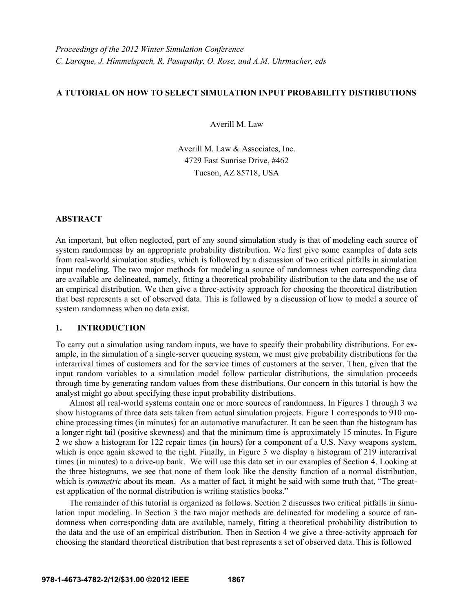# **A TUTORIAL ON HOW TO SELECT SIMULATION INPUT PROBABILITY DISTRIBUTIONS**

Averill M. Law

Averill M. Law & Associates, Inc. 4729 East Sunrise Drive, #462 Tucson, AZ 85718, USA

# **ABSTRACT**

An important, but often neglected, part of any sound simulation study is that of modeling each source of system randomness by an appropriate probability distribution. We first give some examples of data sets from real-world simulation studies, which is followed by a discussion of two critical pitfalls in simulation input modeling. The two major methods for modeling a source of randomness when corresponding data are available are delineated, namely, fitting a theoretical probability distribution to the data and the use of an empirical distribution. We then give a three-activity approach for choosing the theoretical distribution that best represents a set of observed data. This is followed by a discussion of how to model a source of system randomness when no data exist.

#### **1. INTRODUCTION**

To carry out a simulation using random inputs, we have to specify their probability distributions. For example, in the simulation of a single-server queueing system, we must give probability distributions for the interarrival times of customers and for the service times of customers at the server. Then, given that the input random variables to a simulation model follow particular distributions, the simulation proceeds through time by generating random values from these distributions. Our concern in this tutorial is how the analyst might go about specifying these input probability distributions.

 Almost all real-world systems contain one or more sources of randomness. In Figures 1 through 3 we show histograms of three data sets taken from actual simulation projects. Figure 1 corresponds to 910 machine processing times (in minutes) for an automotive manufacturer. It can be seen than the histogram has a longer right tail (positive skewness) and that the minimum time is approximately 15 minutes. In Figure 2 we show a histogram for 122 repair times (in hours) for a component of a U.S. Navy weapons system, which is once again skewed to the right. Finally, in Figure 3 we display a histogram of 219 interarrival times (in minutes) to a drive-up bank. We will use this data set in our examples of Section 4. Looking at the three histograms, we see that none of them look like the density function of a normal distribution, which is *symmetric* about its mean. As a matter of fact, it might be said with some truth that, "The greatest application of the normal distribution is writing statistics books."

 The remainder of this tutorial is organized as follows. Section 2 discusses two critical pitfalls in simulation input modeling. In Section 3 the two major methods are delineated for modeling a source of randomness when corresponding data are available, namely, fitting a theoretical probability distribution to the data and the use of an empirical distribution. Then in Section 4 we give a three-activity approach for choosing the standard theoretical distribution that best represents a set of observed data. This is followed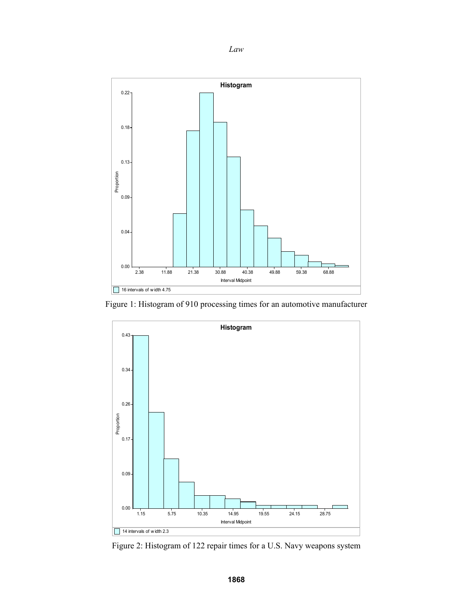# $\boxed{\phantom{1}}$  16 intervals of width 4.75 0.00 0.04 0.09 0.13 0.18  $0.22 -$ 2.38 11.88 21.38 30.88 40.38 49.88 59.38 68.88 Proportion **Histogram** Interval Midpoint

*Law* 

Figure 1: Histogram of 910 processing times for an automotive manufacturer



Figure 2: Histogram of 122 repair times for a U.S. Navy weapons system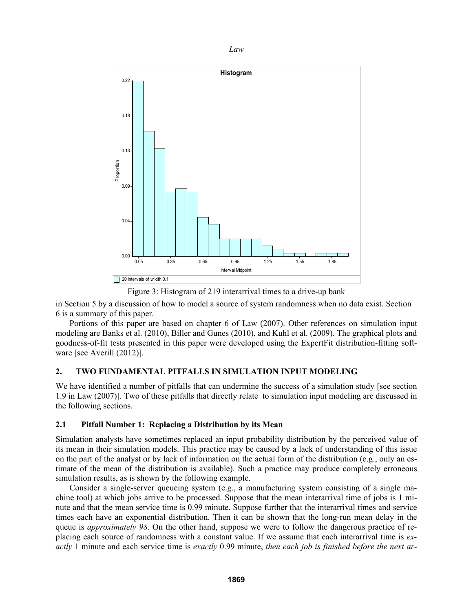

Figure 3: Histogram of 219 interarrival times to a drive-up bank

in Section 5 by a discussion of how to model a source of system randomness when no data exist. Section 6 is a summary of this paper.

 Portions of this paper are based on chapter 6 of Law (2007). Other references on simulation input modeling are Banks et al. (2010), Biller and Gunes (2010), and Kuhl et al. (2009). The graphical plots and goodness-of-fit tests presented in this paper were developed using the ExpertFit distribution-fitting software [see Averill (2012)].

# **2. TWO FUNDAMENTAL PITFALLS IN SIMULATION INPUT MODELING**

We have identified a number of pitfalls that can undermine the success of a simulation study [see section] 1.9 in Law (2007)]. Two of these pitfalls that directly relate to simulation input modeling are discussed in the following sections.

# **2.1 Pitfall Number 1: Replacing a Distribution by its Mean**

Simulation analysts have sometimes replaced an input probability distribution by the perceived value of its mean in their simulation models. This practice may be caused by a lack of understanding of this issue on the part of the analyst or by lack of information on the actual form of the distribution (e.g., only an estimate of the mean of the distribution is available). Such a practice may produce completely erroneous simulation results, as is shown by the following example.

 Consider a single-server queueing system (e.g., a manufacturing system consisting of a single machine tool) at which jobs arrive to be processed. Suppose that the mean interarrival time of jobs is 1 minute and that the mean service time is 0.99 minute. Suppose further that the interarrival times and service times each have an exponential distribution. Then it can be shown that the long-run mean delay in the queue is *approximately 98*. On the other hand, suppose we were to follow the dangerous practice of replacing each source of randomness with a constant value. If we assume that each interarrival time is *exactly* 1 minute and each service time is *exactly* 0.99 minute, *then each job is finished before the next ar-*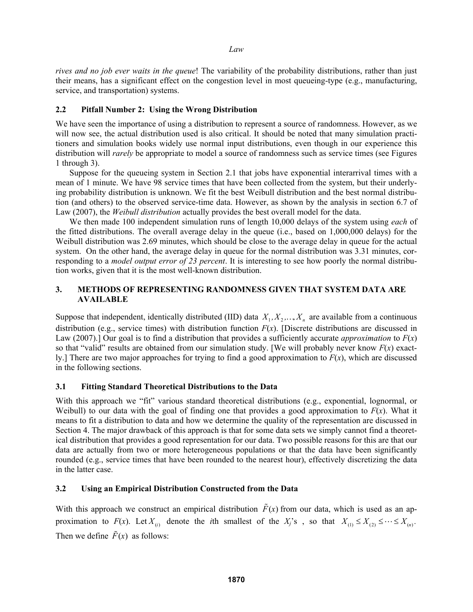*rives and no job ever waits in the queue*! The variability of the probability distributions, rather than just their means, has a significant effect on the congestion level in most queueing-type (e.g., manufacturing, service, and transportation) systems.

#### **2.2 Pitfall Number 2: Using the Wrong Distribution**

We have seen the importance of using a distribution to represent a source of randomness. However, as we will now see, the actual distribution used is also critical. It should be noted that many simulation practitioners and simulation books widely use normal input distributions, even though in our experience this distribution will *rarely* be appropriate to model a source of randomness such as service times (see Figures 1 through 3).

 Suppose for the queueing system in Section 2.1 that jobs have exponential interarrival times with a mean of 1 minute. We have 98 service times that have been collected from the system, but their underlying probability distribution is unknown. We fit the best Weibull distribution and the best normal distribution (and others) to the observed service-time data. However, as shown by the analysis in section 6.7 of Law (2007), the *Weibull distribution* actually provides the best overall model for the data.

 We then made 100 independent simulation runs of length 10,000 delays of the system using *each* of the fitted distributions. The overall average delay in the queue (i.e., based on 1,000,000 delays) for the Weibull distribution was 2.69 minutes, which should be close to the average delay in queue for the actual system. On the other hand, the average delay in queue for the normal distribution was 3.31 minutes, corresponding to a *model output error of 23 percent*. It is interesting to see how poorly the normal distribution works, given that it is the most well-known distribution.

# **3. METHODS OF REPRESENTING RANDOMNESS GIVEN THAT SYSTEM DATA ARE AVAILABLE**

Suppose that independent, identically distributed (IID) data  $X_1, X_2, \ldots, X_n$  are available from a continuous distribution (e.g., service times) with distribution function *F*(*x*). [Discrete distributions are discussed in Law (2007).] Our goal is to find a distribution that provides a sufficiently accurate *approximation* to  $F(x)$ so that "valid" results are obtained from our simulation study. [We will probably never know  $F(x)$  exactly.] There are two major approaches for trying to find a good approximation to  $F(x)$ , which are discussed in the following sections.

# **3.1 Fitting Standard Theoretical Distributions to the Data**

With this approach we "fit" various standard theoretical distributions (e.g., exponential, lognormal, or Weibull) to our data with the goal of finding one that provides a good approximation to  $F(x)$ . What it means to fit a distribution to data and how we determine the quality of the representation are discussed in Section 4. The major drawback of this approach is that for some data sets we simply cannot find a theoretical distribution that provides a good representation for our data. Two possible reasons for this are that our data are actually from two or more heterogeneous populations or that the data have been significantly rounded (e.g., service times that have been rounded to the nearest hour), effectively discretizing the data in the latter case.

# **3.2 Using an Empirical Distribution Constructed from the Data**

With this approach we construct an empirical distribution  $\tilde{F}(x)$  from our data, which is used as an approximation to  $F(x)$ . Let  $X_{(i)}$  denote the *i*th smallest of the  $X_i$ 's, so that  $X_{(1)} \le X_{(2)} \le \cdots \le X_{(n)}$ . Then we define  $\tilde{F}(x)$  as follows: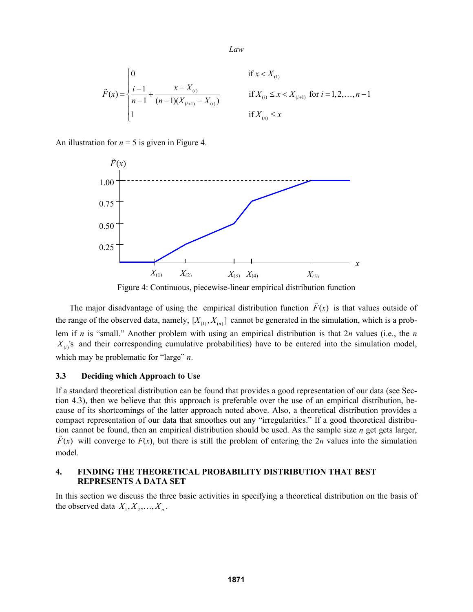$$
\tilde{F}(x) = \begin{cases}\n0 & \text{if } x < X_{(1)} \\
\frac{i-1}{n-1} + \frac{x - X_{(i)}}{(n-1)(X_{(i+1)} - X_{(i)})} & \text{if } X_{(i)} \le x < X_{(i+1)} \text{ for } i = 1, 2, ..., n-1 \\
1 & \text{if } X_{(n)} \le x\n\end{cases}
$$

An illustration for  $n = 5$  is given in Figure 4.



Figure 4: Continuous, piecewise-linear empirical distribution function

The major disadvantage of using the empirical distribution function  $\tilde{F}(x)$  is that values outside of the range of the observed data, namely,  $[X_{(1)}, X_{(n)}]$  cannot be generated in the simulation, which is a problem if *n* is "small." Another problem with using an empirical distribution is that 2*n* values (i.e., the *n*  $X_{(i)}$ 's and their corresponding cumulative probabilities) have to be entered into the simulation model, which may be problematic for "large" *n*.

#### **3.3 Deciding which Approach to Use**

If a standard theoretical distribution can be found that provides a good representation of our data (see Section 4.3), then we believe that this approach is preferable over the use of an empirical distribution, because of its shortcomings of the latter approach noted above. Also, a theoretical distribution provides a compact representation of our data that smoothes out any "irregularities." If a good theoretical distribution cannot be found, then an empirical distribution should be used. As the sample size *n* get gets larger,  $F(x)$  will converge to  $F(x)$ , but there is still the problem of entering the 2*n* values into the simulation model.

#### **4. FINDING THE THEORETICAL PROBABILITY DISTRIBUTION THAT BEST REPRESENTS A DATA SET**

In this section we discuss the three basic activities in specifying a theoretical distribution on the basis of the observed data  $X_1, X_2, \ldots, X_n$ .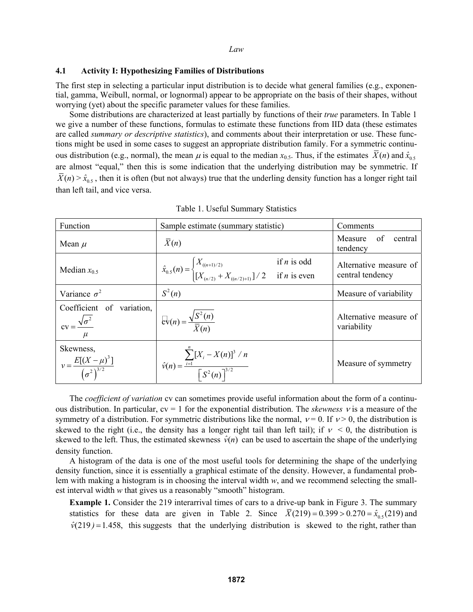#### **4.1 Activity I: Hypothesizing Families of Distributions**

The first step in selecting a particular input distribution is to decide what general families (e.g., exponential, gamma, Weibull, normal, or lognormal) appear to be appropriate on the basis of their shapes, without worrying (yet) about the specific parameter values for these families.

 Some distributions are characterized at least partially by functions of their *true* parameters. In Table 1 we give a number of these functions, formulas to estimate these functions from IID data (these estimates are called *summary or descriptive statistics*), and comments about their interpretation or use. These functions might be used in some cases to suggest an appropriate distribution family. For a symmetric continuous distribution (e.g., normal), the mean  $\mu$  is equal to the median  $x_{0.5}$ . Thus, if the estimates  $\bar{X}(n)$  and  $\hat{x}_{0.5}$ are almost "equal," then this is some indication that the underlying distribution may be symmetric. If  $\bar{X}(n) > \hat{x}_{0.5}$ , then it is often (but not always) true that the underling density function has a longer right tail than left tail, and vice versa.

| <b>Function</b>                                                           | Sample estimate (summary statistic)                                                                                                                                                        | Comments                                   |
|---------------------------------------------------------------------------|--------------------------------------------------------------------------------------------------------------------------------------------------------------------------------------------|--------------------------------------------|
| Mean $\mu$                                                                | $\overline{X}(n)$                                                                                                                                                                          | of<br>Measure<br>central<br>tendency       |
| Median $x_{0.5}$                                                          | if $n$ is odd<br>$\hat{x}_{0.5}(n) = \begin{cases} X_{((n+1)/2)} & \text{if } n \text{ is odd} \\ \left[ X_{(n/2)} + X_{((n/2)+1)} \right] / 2 & \text{if } n \text{ is even} \end{cases}$ | Alternative measure of<br>central tendency |
| Variance $\sigma^2$                                                       | $S^2(n)$                                                                                                                                                                                   | Measure of variability                     |
| Coefficient of<br>variation,<br>$cv = \frac{\sqrt{\sigma^2}}{2}$<br>$\mu$ | $\overline{\text{ev}}(n) = \frac{\sqrt{S^2(n)}}{\overline{X}(n)}$                                                                                                                          | Alternative measure of<br>variability      |
| Skewness,<br>$v = \frac{E[(X - \mu)^3]}{(\sigma^2)^{3/2}}$                | $\hat{v}(n) = \frac{\sum_{i=1}^{n} [X_i - X(n)]^3 / n}{\left[S^2(n)\right]^{3/2}}$                                                                                                         | Measure of symmetry                        |

Table 1. Useful Summary Statistics

 The *coefficient of variation* cv can sometimes provide useful information about the form of a continuous distribution. In particular,  $cv = 1$  for the exponential distribution. The *skewness*  $v$  is a measure of the symmetry of a distribution. For symmetric distributions like the normal,  $v = 0$ . If  $v > 0$ , the distribution is skewed to the right (i.e., the density has a longer right tail than left tail); if  $\nu \leq 0$ , the distribution is skewed to the left. Thus, the estimated skewness  $\hat{v}(n)$  can be used to ascertain the shape of the underlying density function.

 A histogram of the data is one of the most useful tools for determining the shape of the underlying density function, since it is essentially a graphical estimate of the density. However, a fundamental problem with making a histogram is in choosing the interval width *w*, and we recommend selecting the smallest interval width *w* that gives us a reasonably "smooth" histogram.

**Example 1.** Consider the 219 interarrival times of cars to a drive-up bank in Figure 3. The summary statistics for these data are given in Table 2. Since  $\overline{X}(219) = 0.399 > 0.270 = \hat{x}_{0.5}(219)$  and  $\hat{v}(219) = 1.458$ , this suggests that the underlying distribution is skewed to the right, rather than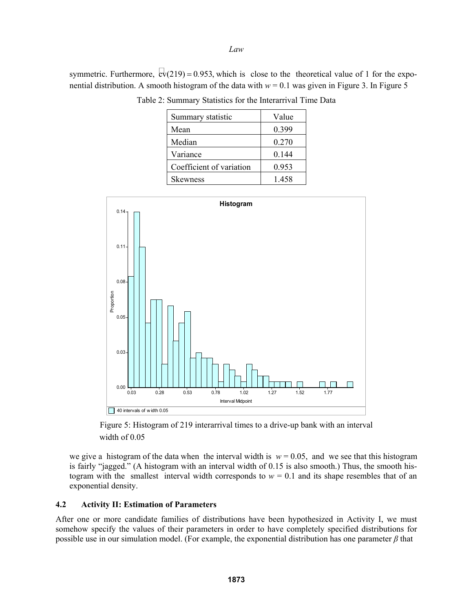symmetric. Furthermore,  $ev(219) = 0.953$ , which is close to the theoretical value of 1 for the exponential distribution. A smooth histogram of the data with  $w = 0.1$  was given in Figure 3. In Figure 5 Table 2: Summary Statistics for the Interarrival Time Data

| Summary statistic        | Value |
|--------------------------|-------|
| Mean                     | 0.399 |
| Median                   | 0.270 |
| Variance                 | 0.144 |
| Coefficient of variation | 0.953 |
| <b>Skewness</b>          | 1458  |



Figure 5: Histogram of 219 interarrival times to a drive-up bank with an interval width of 0.05

we give a histogram of the data when the interval width is  $w = 0.05$ , and we see that this histogram is fairly "jagged." (A histogram with an interval width of 0.15 is also smooth.) Thus, the smooth his togram with the smallest interval width corresponds to  $w = 0.1$  and its shape resembles that of an exponential density.

# **4.2 Activity II: Estimation of Parameters**

After one or more candidate families of distributions have been hypothesized in Activity I, we must somehow specify the values of their parameters in order to have completely specified distributions for possible use in our simulation model. (For example, the exponential distribution has one parameter *β* that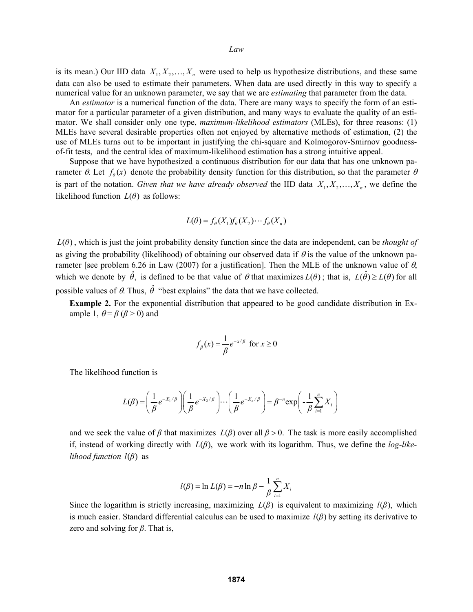is its mean.) Our IID data  $X_1, X_2, ..., X_n$  were used to help us hypothesize distributions, and these same data can also be used to estimate their parameters. When data are used directly in this way to specify a numerical value for an unknown parameter, we say that we are *estimating* that parameter from the data.

 An *estimator* is a numerical function of the data. There are many ways to specify the form of an estimator for a particular parameter of a given distribution, and many ways to evaluate the quality of an estimator. We shall consider only one type, *maximum-likelihood estimators* (MLEs), for three reasons: (1) MLEs have several desirable properties often not enjoyed by alternative methods of estimation, (2) the use of MLEs turns out to be important in justifying the chi-square and Kolmogorov-Smirnov goodnessof-fit tests, and the central idea of maximum-likelihood estimation has a strong intuitive appeal.

 Suppose that we have hypothesized a continuous distribution for our data that has one unknown parameter  $\theta$ . Let  $f_{\theta}(x)$  denote the probability density function for this distribution, so that the parameter  $\theta$ is part of the notation. *Given that we have already observed* the IID data  $X_1, X_2, ..., X_n$ , we define the likelihood function  $L(\theta)$  as follows:

$$
L(\theta) = f_{\theta}(X_1)f_{\theta}(X_2)\cdots f_{\theta}(X_n)
$$

 $L(\theta)$ , which is just the joint probability density function since the data are independent, can be *thought of* as giving the probability (likelihood) of obtaining our observed data if  $\theta$  is the value of the unknown parameter [see problem 6.26 in Law (2007) for a justification]. Then the MLE of the unknown value of  $\theta$ , which we denote by  $\hat{\theta}$ , is defined to be that value of  $\theta$  that maximizes  $L(\theta)$ ; that is,  $L(\hat{\theta}) \ge L(\theta)$  for all possible values of  $\theta$ . Thus,  $\hat{\theta}$  "best explains" the data that we have collected.

**Example 2.** For the exponential distribution that appeared to be good candidate distribution in Example 1,  $\theta = \beta (\beta > 0)$  and

$$
f_{\beta}(x) = \frac{1}{\beta} e^{-x/\beta} \text{ for } x \ge 0
$$

The likelihood function is

$$
L(\beta) = \left(\frac{1}{\beta}e^{-X_1/\beta}\right)\left(\frac{1}{\beta}e^{-X_2/\beta}\right)\cdots\left(\frac{1}{\beta}e^{-X_n/\beta}\right) = \beta^{-n}\exp\left(-\frac{1}{\beta}\sum_{i=1}^n X_i\right)
$$

and we seek the value of  $\beta$  that maximizes  $L(\beta)$  over all  $\beta > 0$ . The task is more easily accomplished if, instead of working directly with  $L(\beta)$ , we work with its logarithm. Thus, we define the *log-likelihood function*  $l(\beta)$  as

$$
l(\beta) = \ln L(\beta) = -n \ln \beta - \frac{1}{\beta} \sum_{i=1}^{n} X_i
$$

Since the logarithm is strictly increasing, maximizing  $L(\beta)$  is equivalent to maximizing  $l(\beta)$ , which is much easier. Standard differential calculus can be used to maximize  $l(\beta)$  by setting its derivative to zero and solving for *β*. That is,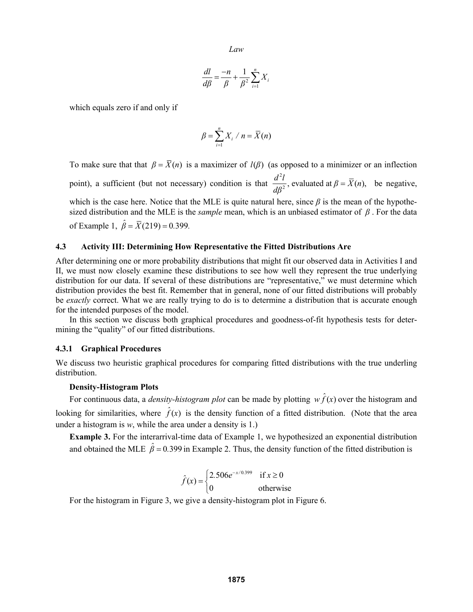$$
\frac{dl}{d\beta} = \frac{-n}{\beta} + \frac{1}{\beta^2} \sum_{i=1}^n X_i
$$

which equals zero if and only if

$$
\beta = \sum_{i=1}^n X_i / n = \overline{X}(n)
$$

To make sure that that  $\beta = \overline{X}(n)$  is a maximizer of  $l(\beta)$  (as opposed to a minimizer or an inflection point), a sufficient (but not necessary) condition is that  $\frac{d^2l}{d\beta^2}$ , evaluated at  $\beta = \overline{X}(n)$ , be negative, which is the case here. Notice that the MLE is quite natural here, since  $\beta$  is the mean of the hypothesized distribution and the MLE is the *sample* mean, which is an unbiased estimator of *β* . For the data

of Example 1,  $\hat{\beta} = \overline{X}(219) = 0.399$ .

#### **4.3 Activity III: Determining How Representative the Fitted Distributions Are**

After determining one or more probability distributions that might fit our observed data in Activities I and II, we must now closely examine these distributions to see how well they represent the true underlying distribution for our data. If several of these distributions are "representative," we must determine which distribution provides the best fit. Remember that in general, none of our fitted distributions will probably be *exactly* correct. What we are really trying to do is to determine a distribution that is accurate enough for the intended purposes of the model.

 In this section we discuss both graphical procedures and goodness-of-fit hypothesis tests for determining the "quality" of our fitted distributions.

#### **4.3.1 Graphical Procedures**

We discuss two heuristic graphical procedures for comparing fitted distributions with the true underling distribution.

#### **Density-Histogram Plots**

For continuous data, a *density-histogram plot* can be made by plotting  $w \hat{f}(x)$  over the histogram and looking for similarities, where  $\hat{f}(x)$  is the density function of a fitted distribution. (Note that the area under a histogram is *w*, while the area under a density is 1.)

 **Example 3.** For the interarrival-time data of Example 1, we hypothesized an exponential distribution and obtained the MLE  $\hat{\beta} = 0.399$  in Example 2. Thus, the density function of the fitted distribution is

$$
\hat{f}(x) = \begin{cases} 2.506e^{-x/0.399} & \text{if } x \ge 0\\ 0 & \text{otherwise} \end{cases}
$$

For the histogram in Figure 3, we give a density-histogram plot in Figure 6.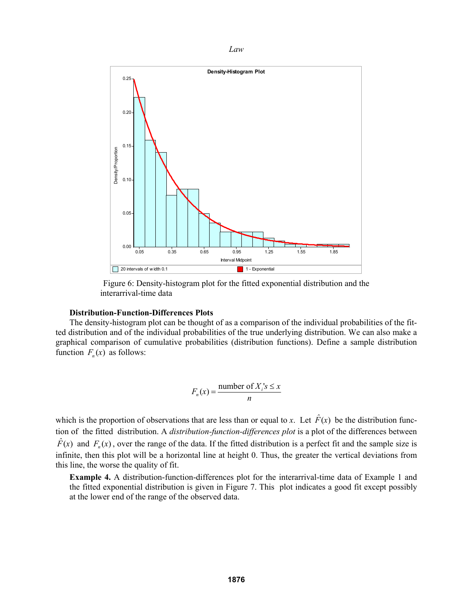

Figure 6: Density-histogram plot for the fitted exponential distribution and the interarrival-time data

# **Distribution-Function-Differences Plots**

 The density-histogram plot can be thought of as a comparison of the individual probabilities of the fitted distribution and of the individual probabilities of the true underlying distribution. We can also make a graphical comparison of cumulative probabilities (distribution functions). Define a sample distribution function  $F_n(x)$  as follows:

$$
F_n(x) = \frac{\text{number of } X_i's \le x}{n}
$$

which is the proportion of observations that are less than or equal to *x*. Let  $\hat{F}(x)$  be the distribution function of the fitted distribution. A *distribution-function-differences plot* is a plot of the differences between  $\hat{F}(x)$  and  $F_n(x)$ , over the range of the data. If the fitted distribution is a perfect fit and the sample size is infinite, then this plot will be a horizontal line at height 0. Thus, the greater the vertical deviations from this line, the worse the quality of fit.

 **Example 4.** A distribution-function-differences plot for the interarrival-time data of Example 1 and the fitted exponential distribution is given in Figure 7. This plot indicates a good fit except possibly at the lower end of the range of the observed data.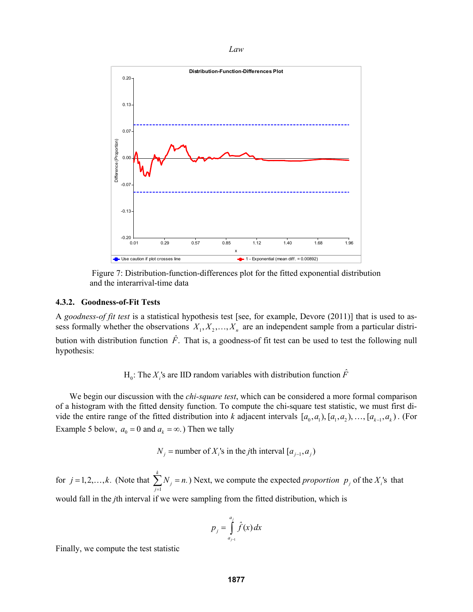

Figure 7: Distribution-function-differences plot for the fitted exponential distribution and the interarrival-time data

#### **4.3.2. Goodness-of-Fit Tests**

A *goodness-of fit test* is a statistical hypothesis test [see, for example, Devore (2011)] that is used to assess formally whether the observations  $X_1, X_2, ..., X_n$  are an independent sample from a particular distribution with distribution function  $\hat{F}$ . That is, a goodness-of fit test can be used to test the following null hypothesis:

H<sub>0</sub>: The  $X_i$ 's are IID random variables with distribution function  $\hat{F}$ 

 We begin our discussion with the *chi-square test*, which can be considered a more formal comparison of a histogram with the fitted density function. To compute the chi-square test statistic, we must first divide the entire range of the fitted distribution into *k* adjacent intervals  $[a_0, a_1)$ ,  $[a_1, a_2)$ , ...,  $[a_{k-1}, a_k)$ . (For Example 5 below,  $a_0 = 0$  and  $a_k = \infty$ .) Then we tally

 $N_i$  = number of  $X_i$ 's in the *j*th interval  $[a_{i-1}, a_i]$ 

for  $j = 1, 2, \ldots, k$ . (Note that  $\sum_{j=1}^{k}$  $\sum_{j=1}^{I \, \mathbf{v}}$  *j*  $N_i = n$ .  $\sum_{j=1}^{n} N_j = n$ .) Next, we compute the expected *proportion*  $p_j$  of the  $X_i$ 's that would fall in the *j*th interval if we were sampling from the fitted distribution, which is

$$
p_j = \int_{a_{j-1}}^{a_j} \hat{f}(x) dx
$$

Finally, we compute the test statistic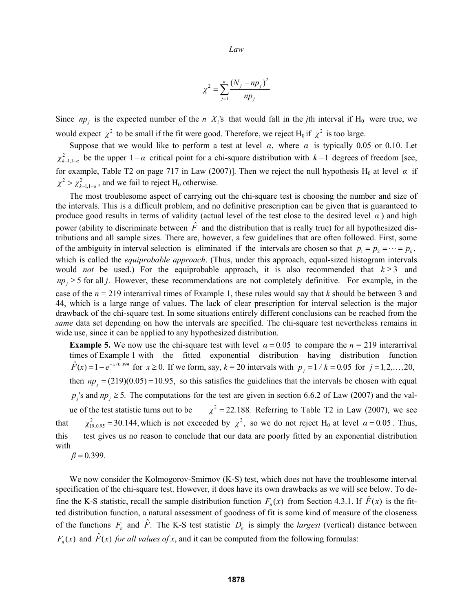$$
\chi^2 = \sum_{j=1}^k \frac{(N_j - np_j)^2}{np_j}
$$

Since  $np_i$  is the expected number of the *n*  $X_i$ 's that would fall in the *j*th interval if H<sub>0</sub> were true, we would expect  $\chi^2$  to be small if the fit were good. Therefore, we reject H<sub>0</sub> if  $\chi^2$  is too large.

Suppose that we would like to perform a test at level  $\alpha$ , where  $\alpha$  is typically 0.05 or 0.10. Let  $\chi^2_{k-1,1-a}$  be the upper  $1-a$  critical point for a chi-square distribution with  $k-1$  degrees of freedom [see, for example, Table T2 on page 717 in Law (2007)]. Then we reject the null hypothesis H<sub>0</sub> at level  $\alpha$  if  $\chi^2 > \chi^2_{k-1,1-a}$ , and we fail to reject H<sub>0</sub> otherwise.

The most troublesome aspect of carrying out the chi-square test is choosing the number and size of the intervals. This is a difficult problem, and no definitive prescription can be given that is guaranteed to produce good results in terms of validity (actual level of the test close to the desired level *α* ) and high power (ability to discriminate between  $\hat{F}$  and the distribution that is really true) for all hypothesized distributions and all sample sizes. There are, however, a few guidelines that are often followed. First, some of the ambiguity in interval selection is eliminated if the intervals are chosen so that  $p_1 = p_2 = \cdots = p_k$ , which is called the *equiprobable approach*. (Thus, under this approach, equal-sized histogram intervals would *not* be used.) For the equiprobable approach, it is also recommended that  $k \ge 3$  and  $np_i \ge 5$  for all *j*. However, these recommendations are not completely definitive. For example, in the case of the *n* = 219 interarrival times of Example 1, these rules would say that *k* should be between 3 and 44, which is a large range of values. The lack of clear prescription for interval selection is the major drawback of the chi-square test. In some situations entirely different conclusions can be reached from the *same* data set depending on how the intervals are specified. The chi-square test nevertheless remains in wide use, since it can be applied to any hypothesized distribution.

**Example 5.** We now use the chi-square test with level  $\alpha = 0.05$  to compare the  $n = 219$  interarrival times of Example 1 with the fitted exponential distribution having distribution function  $\hat{F}(x) = 1 - e^{-x/(0.399)}$  for  $x \ge 0$ . If we form, say,  $k = 20$  intervals with  $p_j = 1/k = 0.05$  for  $j = 1, 2, ..., 20$ , then  $np_i = (219)(0.05) = 10.95$ , so this satisfies the guidelines that the intervals be chosen with equal  $p_i$ 's and  $np_i \ge 5$ . The computations for the test are given in section 6.6.2 of Law (2007) and the value of the test statistic turns out to be  $\chi^2 = 22.188$ . Referring to Table T2 in Law (2007), we see that  $\chi^{2}_{19,0.95} = 30.144$ , which is not exceeded by  $\chi^{2}$ , so we do not reject H<sub>0</sub> at level  $\alpha = 0.05$ . Thus, this test gives us no reason to conclude that our data are poorly fitted by an exponential distribution

with  $\beta = 0.399$ .

We now consider the Kolmogorov-Smirnov (K-S) test, which does not have the troublesome interval specification of the chi-square test. However, it does have its own drawbacks as we will see below. To define the K-S statistic, recall the sample distribution function  $F_n(x)$  from Section 4.3.1. If  $\hat{F}(x)$  is the fitted distribution function, a natural assessment of goodness of fit is some kind of measure of the closeness of the functions  $F_n$  and  $\hat{F}$ . The K-S test statistic  $D_n$  is simply the *largest* (vertical) distance between  $F_n(x)$  and  $\hat{F}(x)$  *for all values of x*, and it can be computed from the following formulas: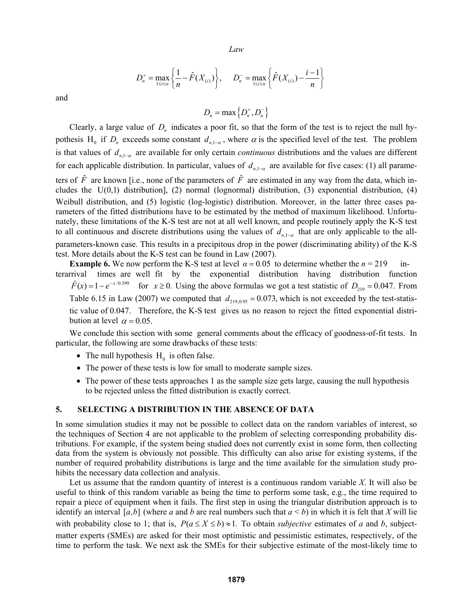$$
D_n^+ = \max_{1 \le i \le n} \left\{ \frac{1}{n} - \hat{F}(X_{(i)}) \right\}, \qquad D_n^- = \max_{1 \le i \le n} \left\{ \hat{F}(X_{(i)}) - \frac{i-1}{n} \right\}
$$

and

$$
D_n = \max\left\{D_n^+, D_n^-\right\}
$$

Clearly, a large value of  $D<sub>n</sub>$  indicates a poor fit, so that the form of the test is to reject the null hypothesis H<sub>0</sub> if *D<sub>n</sub>* exceeds some constant  $d_{n,1-a}$ , where  $\alpha$  is the specified level of the test. The problem is that values of  $d_{n,1-\alpha}$  are available for only certain *continuous* distributions and the values are different for each applicable distribution. In particular, values of  $d_{n,1-a}$  are available for five cases: (1) all parameters of  $\hat{F}$  are known [i.e., none of the parameters of  $\hat{F}$  are estimated in any way from the data, which includes the U(0,1) distribution], (2) normal (lognormal) distribution, (3) exponential distribution, (4) Weibull distribution, and (5) logistic (log-logistic) distribution. Moreover, in the latter three cases parameters of the fitted distributions have to be estimated by the method of maximum likelihood. Unfortunately, these limitations of the K-S test are not at all well known, and people routinely apply the K-S test to all continuous and discrete distributions using the values of  $d_{n,1-\alpha}$  that are only applicable to the allparameters-known case. This results in a precipitous drop in the power (discriminating ability) of the K-S test. More details about the K-S test can be found in Law (2007).

**Example 6.** We now perform the K-S test at level  $\alpha = 0.05$  to determine whether the  $n = 219$  interarrival times are well fit by the exponential distribution having distribution function  $\hat{F}(x) = 1 - e^{-x/(0.399)}$  for  $x \ge 0$ . Using the above formulas we got a test statistic of  $D_{219} = 0.047$ . From Table 6.15 in Law (2007) we computed that  $d_{219,0.95} = 0.073$ , which is not exceeded by the test-statis tic value of 0.047. Therefore, the K-S test gives us no reason to reject the fitted exponential distri bution at level  $\alpha = 0.05$ .

We conclude this section with some general comments about the efficacy of goodness-of-fit tests. In particular, the following are some drawbacks of these tests:

- The null hypothesis  $H_0$  is often false.
- The power of these tests is low for small to moderate sample sizes.
- The power of these tests approaches 1 as the sample size gets large, causing the null hypothesis to be rejected unless the fitted distribution is exactly correct.

#### **5. SELECTING A DISTRIBUTION IN THE ABSENCE OF DATA**

In some simulation studies it may not be possible to collect data on the random variables of interest, so the techniques of Section 4 are not applicable to the problem of selecting corresponding probability distributions. For example, if the system being studied does not currently exist in some form, then collecting data from the system is obviously not possible. This difficulty can also arise for existing systems, if the number of required probability distributions is large and the time available for the simulation study prohibits the necessary data collection and analysis.

 Let us assume that the random quantity of interest is a continuous random variable *X*. It will also be useful to think of this random variable as being the time to perform some task, e.g., the time required to repair a piece of equipment when it fails. The first step in using the triangular distribution approach is to identify an interval  $[a,b]$  (where a and b are real numbers such that  $a < b$ ) in which it is felt that X will lie with probability close to 1; that is,  $P(a \le X \le b) \approx 1$ . To obtain *subjective* estimates of *a* and *b*, subjectmatter experts (SMEs) are asked for their most optimistic and pessimistic estimates, respectively, of the time to perform the task. We next ask the SMEs for their subjective estimate of the most-likely time to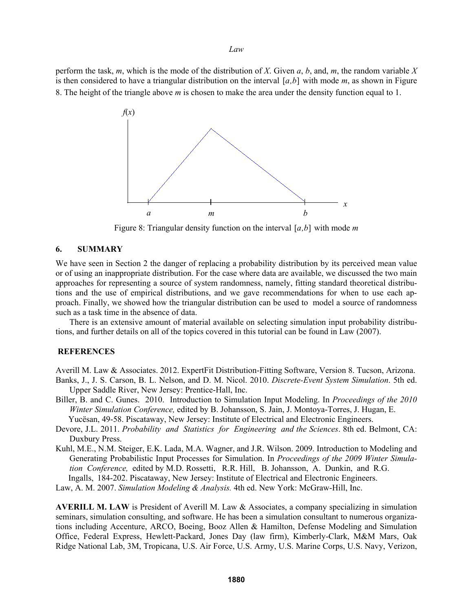perform the task, *m*, which is the mode of the distribution of *X*. Given *a*, *b*, and, *m*, the random variable *X* is then considered to have a triangular distribution on the interval  $[a,b]$  with mode  $m$ , as shown in Figure 8. The height of the triangle above *m* is chosen to make the area under the density function equal to 1.



Figure 8: Triangular density function on the interval  $[a,b]$  with mode *m* 

#### **6. SUMMARY**

We have seen in Section 2 the danger of replacing a probability distribution by its perceived mean value or of using an inappropriate distribution. For the case where data are available, we discussed the two main approaches for representing a source of system randomness, namely, fitting standard theoretical distributions and the use of empirical distributions, and we gave recommendations for when to use each approach. Finally, we showed how the triangular distribution can be used to model a source of randomness such as a task time in the absence of data.

 There is an extensive amount of material available on selecting simulation input probability distributions, and further details on all of the topics covered in this tutorial can be found in Law (2007).

#### **REFERENCES**

Averill M. Law & Associates. 2012. ExpertFit Distribution-Fitting Software, Version 8. Tucson, Arizona.

- Banks, J., J. S. Carson, B. L. Nelson, and D. M. Nicol. 2010. *Discrete-Event System Simulation*. 5th ed. Upper Saddle River, New Jersey: Prentice-Hall, Inc.
- Biller, B. and C. Gunes. 2010. Introduction to Simulation Input Modeling. In *Proceedings of the 2010 Winter Simulation Conference,* edited by B. Johansson, S. Jain, J. Montoya-Torres, J. Hugan, E.

Yucësan, 49-58. Piscataway, New Jersey: Institute of Electrical and Electronic Engineers.

- Devore, J.L. 2011. *Probability and Statistics for Engineering and the Sciences*. 8th ed. Belmont, CA: Duxbury Press.
- Kuhl, M.E., N.M. Steiger, E.K. Lada, M.A. Wagner, and J.R. Wilson. 2009. Introduction to Modeling and Generating Probabilistic Input Processes for Simulation. In *Proceedings of the 2009 Winter Simula tion Conference,* edited by M.D. Rossetti, R.R. Hill, B. Johansson, A. Dunkin, and R.G. Ingalls, 184-202. Piscataway, New Jersey: Institute of Electrical and Electronic Engineers.

Law, A. M. 2007. *Simulation Modeling & Analysis.* 4th ed. New York: McGraw-Hill, Inc.

**AVERILL M. LAW** is President of Averill M. Law & Associates, a company specializing in simulation seminars, simulation consulting, and software. He has been a simulation consultant to numerous organizations including Accenture, ARCO, Boeing, Booz Allen & Hamilton, Defense Modeling and Simulation Office, Federal Express, Hewlett-Packard, Jones Day (law firm), Kimberly-Clark, M&M Mars, Oak Ridge National Lab, 3M, Tropicana, U.S. Air Force, U.S. Army, U.S. Marine Corps, U.S. Navy, Verizon,